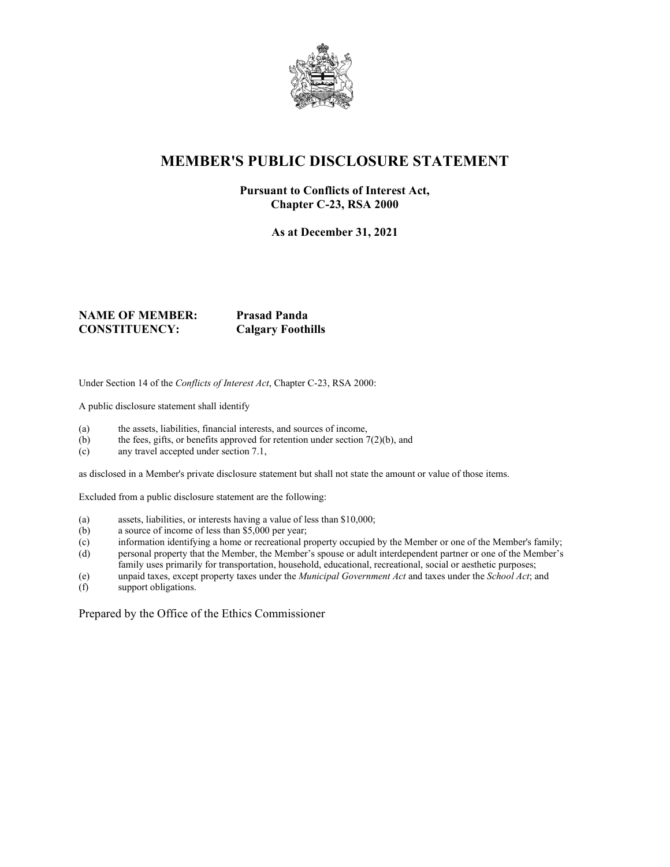

# **MEMBER'S PUBLIC DISCLOSURE STATEMENT**

#### **Pursuant to Conflicts of Interest Act, Chapter C-23, RSA 2000**

**As at December 31, 2021**

#### **NAME OF MEMBER: Prasad Panda CONSTITUENCY: Calgary Foothills**

Under Section 14 of the *Conflicts of Interest Act*, Chapter C-23, RSA 2000:

A public disclosure statement shall identify

- (a) the assets, liabilities, financial interests, and sources of income,
- (b) the fees, gifts, or benefits approved for retention under section  $7(2)(b)$ , and
- (c) any travel accepted under section 7.1,

as disclosed in a Member's private disclosure statement but shall not state the amount or value of those items.

Excluded from a public disclosure statement are the following:

- (a) assets, liabilities, or interests having a value of less than \$10,000;
- (b) a source of income of less than \$5,000 per year;
- (c) information identifying a home or recreational property occupied by the Member or one of the Member's family;
- (d) personal property that the Member, the Member's spouse or adult interdependent partner or one of the Member's family uses primarily for transportation, household, educational, recreational, social or aesthetic purposes;
- (e) unpaid taxes, except property taxes under the *Municipal Government Act* and taxes under the *School Act*; and
- support obligations.

Prepared by the Office of the Ethics Commissioner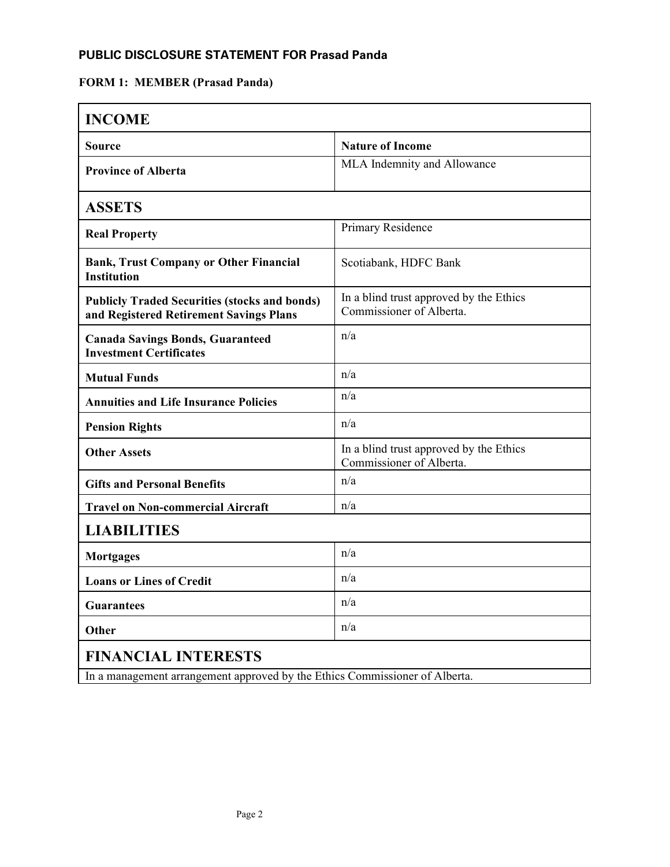### **PUBLIC DISCLOSURE STATEMENT FOR Prasad Panda**

#### **FORM 1: MEMBER (Prasad Panda)**

| <b>INCOME</b>                                                                                   |                                                                     |  |
|-------------------------------------------------------------------------------------------------|---------------------------------------------------------------------|--|
| <b>Source</b>                                                                                   | <b>Nature of Income</b>                                             |  |
| <b>Province of Alberta</b>                                                                      | MLA Indemnity and Allowance                                         |  |
| <b>ASSETS</b>                                                                                   |                                                                     |  |
| <b>Real Property</b>                                                                            | Primary Residence                                                   |  |
| <b>Bank, Trust Company or Other Financial</b><br><b>Institution</b>                             | Scotiabank, HDFC Bank                                               |  |
| <b>Publicly Traded Securities (stocks and bonds)</b><br>and Registered Retirement Savings Plans | In a blind trust approved by the Ethics<br>Commissioner of Alberta. |  |
| <b>Canada Savings Bonds, Guaranteed</b><br><b>Investment Certificates</b>                       | n/a                                                                 |  |
| <b>Mutual Funds</b>                                                                             | n/a                                                                 |  |
| <b>Annuities and Life Insurance Policies</b>                                                    | n/a                                                                 |  |
| <b>Pension Rights</b>                                                                           | n/a                                                                 |  |
| <b>Other Assets</b>                                                                             | In a blind trust approved by the Ethics<br>Commissioner of Alberta. |  |
| <b>Gifts and Personal Benefits</b>                                                              | n/a                                                                 |  |
| <b>Travel on Non-commercial Aircraft</b>                                                        | n/a                                                                 |  |
| <b>LIABILITIES</b>                                                                              |                                                                     |  |
| <b>Mortgages</b>                                                                                | n/a                                                                 |  |
| <b>Loans or Lines of Credit</b>                                                                 | n/a                                                                 |  |
| <b>Guarantees</b>                                                                               | n/a                                                                 |  |
| <b>Other</b>                                                                                    | n/a                                                                 |  |
| <b>FINANCIAL INTERESTS</b>                                                                      |                                                                     |  |
| In a management arrangement approved by the Ethics Commissioner of Alberta.                     |                                                                     |  |